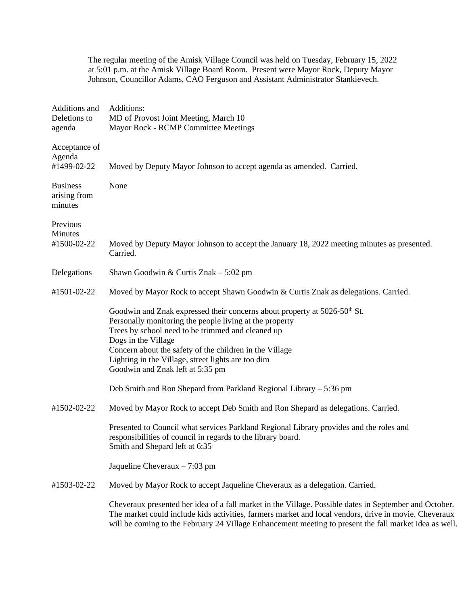The regular meeting of the Amisk Village Council was held on Tuesday, February 15, 2022 at 5:01 p.m. at the Amisk Village Board Room. Present were Mayor Rock, Deputy Mayor Johnson, Councillor Adams, CAO Ferguson and Assistant Administrator Stankievech.

| Additions and<br>Deletions to<br>agenda    | Additions:<br>MD of Provost Joint Meeting, March 10<br>Mayor Rock - RCMP Committee Meetings                                                                                                                                                                                                                                                                                       |
|--------------------------------------------|-----------------------------------------------------------------------------------------------------------------------------------------------------------------------------------------------------------------------------------------------------------------------------------------------------------------------------------------------------------------------------------|
| Acceptance of<br>Agenda<br>#1499-02-22     | Moved by Deputy Mayor Johnson to accept agenda as amended. Carried.                                                                                                                                                                                                                                                                                                               |
| <b>Business</b><br>arising from<br>minutes | None                                                                                                                                                                                                                                                                                                                                                                              |
| Previous                                   |                                                                                                                                                                                                                                                                                                                                                                                   |
| Minutes<br>#1500-02-22                     | Moved by Deputy Mayor Johnson to accept the January 18, 2022 meeting minutes as presented.<br>Carried.                                                                                                                                                                                                                                                                            |
| Delegations                                | Shawn Goodwin & Curtis Znak $-5:02$ pm                                                                                                                                                                                                                                                                                                                                            |
| #1501-02-22                                | Moved by Mayor Rock to accept Shawn Goodwin & Curtis Znak as delegations. Carried.                                                                                                                                                                                                                                                                                                |
|                                            | Goodwin and Znak expressed their concerns about property at 5026-50 <sup>th</sup> St.<br>Personally monitoring the people living at the property<br>Trees by school need to be trimmed and cleaned up<br>Dogs in the Village<br>Concern about the safety of the children in the Village<br>Lighting in the Village, street lights are too dim<br>Goodwin and Znak left at 5:35 pm |
|                                            | Deb Smith and Ron Shepard from Parkland Regional Library - 5:36 pm                                                                                                                                                                                                                                                                                                                |
| #1502-02-22                                | Moved by Mayor Rock to accept Deb Smith and Ron Shepard as delegations. Carried.                                                                                                                                                                                                                                                                                                  |
|                                            | Presented to Council what services Parkland Regional Library provides and the roles and<br>responsibilities of council in regards to the library board.<br>Smith and Shepard left at 6:35                                                                                                                                                                                         |
|                                            | Jaqueline Cheveraux $-7:03$ pm                                                                                                                                                                                                                                                                                                                                                    |
| #1503-02-22                                | Moved by Mayor Rock to accept Jaqueline Cheveraux as a delegation. Carried.                                                                                                                                                                                                                                                                                                       |
|                                            | Cheveraux presented her idea of a fall market in the Village. Possible dates in September and October.<br>The market could include kids activities, farmers market and local vendors, drive in movie. Cheveraux<br>will be coming to the February 24 Village Enhancement meeting to present the fall market idea as well.                                                         |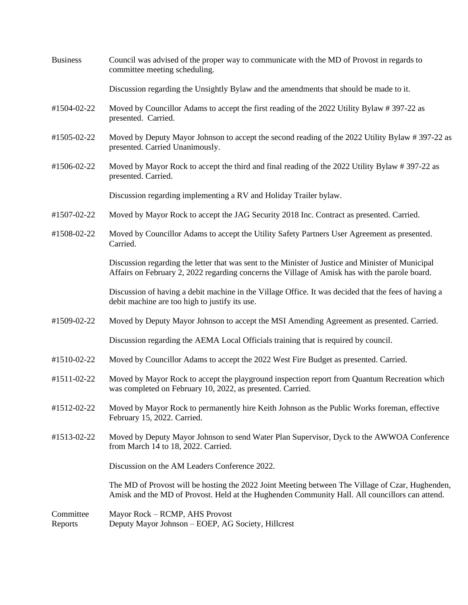| <b>Business</b>      | Council was advised of the proper way to communicate with the MD of Provost in regards to<br>committee meeting scheduling.                                                                           |
|----------------------|------------------------------------------------------------------------------------------------------------------------------------------------------------------------------------------------------|
|                      | Discussion regarding the Unsightly Bylaw and the amendments that should be made to it.                                                                                                               |
| #1504-02-22          | Moved by Councillor Adams to accept the first reading of the 2022 Utility Bylaw #397-22 as<br>presented. Carried.                                                                                    |
| #1505-02-22          | Moved by Deputy Mayor Johnson to accept the second reading of the 2022 Utility Bylaw #397-22 as<br>presented. Carried Unanimously.                                                                   |
| #1506-02-22          | Moved by Mayor Rock to accept the third and final reading of the 2022 Utility Bylaw #397-22 as<br>presented. Carried.                                                                                |
|                      | Discussion regarding implementing a RV and Holiday Trailer bylaw.                                                                                                                                    |
| #1507-02-22          | Moved by Mayor Rock to accept the JAG Security 2018 Inc. Contract as presented. Carried.                                                                                                             |
| #1508-02-22          | Moved by Councillor Adams to accept the Utility Safety Partners User Agreement as presented.<br>Carried.                                                                                             |
|                      | Discussion regarding the letter that was sent to the Minister of Justice and Minister of Municipal<br>Affairs on February 2, 2022 regarding concerns the Village of Amisk has with the parole board. |
|                      | Discussion of having a debit machine in the Village Office. It was decided that the fees of having a<br>debit machine are too high to justify its use.                                               |
| #1509-02-22          | Moved by Deputy Mayor Johnson to accept the MSI Amending Agreement as presented. Carried.                                                                                                            |
|                      | Discussion regarding the AEMA Local Officials training that is required by council.                                                                                                                  |
| #1510-02-22          | Moved by Councillor Adams to accept the 2022 West Fire Budget as presented. Carried.                                                                                                                 |
| #1511-02-22          | Moved by Mayor Rock to accept the playground inspection report from Quantum Recreation which<br>was completed on February 10, 2022, as presented. Carried.                                           |
| #1512-02-22          | Moved by Mayor Rock to permanently hire Keith Johnson as the Public Works foreman, effective<br>February 15, 2022. Carried.                                                                          |
| #1513-02-22          | Moved by Deputy Mayor Johnson to send Water Plan Supervisor, Dyck to the AWWOA Conference<br>from March 14 to 18, 2022. Carried.                                                                     |
|                      | Discussion on the AM Leaders Conference 2022.                                                                                                                                                        |
|                      | The MD of Provost will be hosting the 2022 Joint Meeting between The Village of Czar, Hughenden,<br>Amisk and the MD of Provost. Held at the Hughenden Community Hall. All councillors can attend.   |
| Committee<br>Reports | Mayor Rock – RCMP, AHS Provost<br>Deputy Mayor Johnson - EOEP, AG Society, Hillcrest                                                                                                                 |